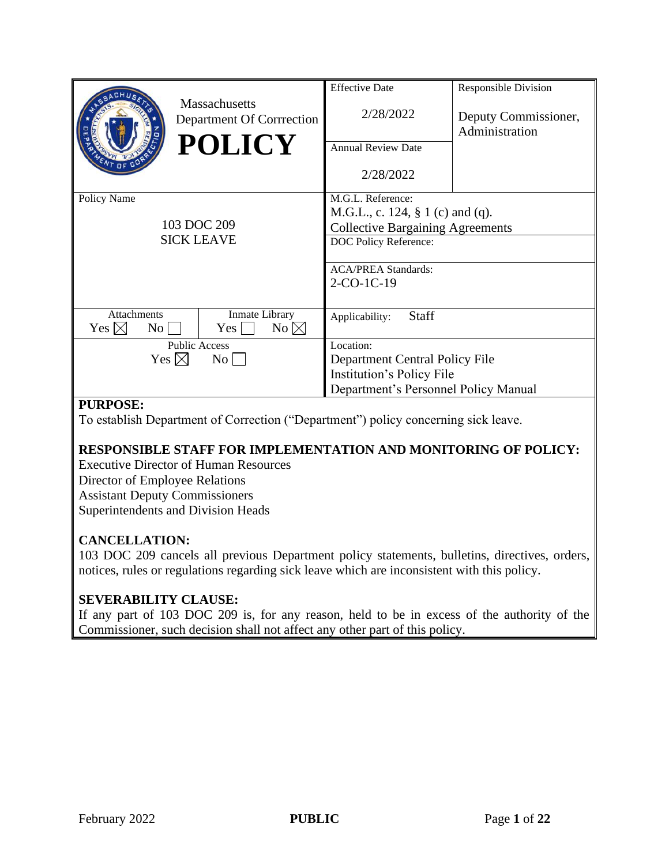|                                                      |                                                   | <b>Effective Date</b>                   | <b>Responsible Division</b>            |
|------------------------------------------------------|---------------------------------------------------|-----------------------------------------|----------------------------------------|
|                                                      | <b>Massachusetts</b><br>Department Of Corrrection | 2/28/2022                               | Deputy Commissioner,<br>Administration |
|                                                      | <b>POLICY</b>                                     | <b>Annual Review Date</b>               |                                        |
|                                                      |                                                   | 2/28/2022                               |                                        |
| Policy Name                                          |                                                   | M.G.L. Reference:                       |                                        |
|                                                      |                                                   | M.G.L., c. 124, $\S$ 1 (c) and (q).     |                                        |
|                                                      | 103 DOC 209                                       | <b>Collective Bargaining Agreements</b> |                                        |
| <b>SICK LEAVE</b>                                    |                                                   | DOC Policy Reference:                   |                                        |
|                                                      |                                                   |                                         |                                        |
|                                                      |                                                   | <b>ACA/PREA Standards:</b>              |                                        |
|                                                      |                                                   | $2-CO-1C-19$                            |                                        |
|                                                      |                                                   |                                         |                                        |
| Attachments<br>Yes $\boxtimes$<br>$\overline{N_{0}}$ | Inmate Library<br>$No \boxtimes$<br>Yes           | <b>Staff</b><br>Applicability:          |                                        |
| <b>Public Access</b>                                 |                                                   | Location:                               |                                        |
| Yes $\boxtimes$                                      | $\overline{N_{O}}$                                | Department Central Policy File          |                                        |
|                                                      |                                                   | Institution's Policy File               |                                        |
|                                                      |                                                   | Department's Personnel Policy Manual    |                                        |

## **PURPOSE:**

To establish Department of Correction ("Department") policy concerning sick leave.

## **RESPONSIBLE STAFF FOR IMPLEMENTATION AND MONITORING OF POLICY:**

Executive Director of Human Resources Director of Employee Relations Assistant Deputy Commissioners Superintendents and Division Heads

## **CANCELLATION:**

103 DOC 209 cancels all previous Department policy statements, bulletins, directives, orders, notices, rules or regulations regarding sick leave which are inconsistent with this policy.

## **SEVERABILITY CLAUSE:**

If any part of 103 DOC 209 is, for any reason, held to be in excess of the authority of the Commissioner, such decision shall not affect any other part of this policy.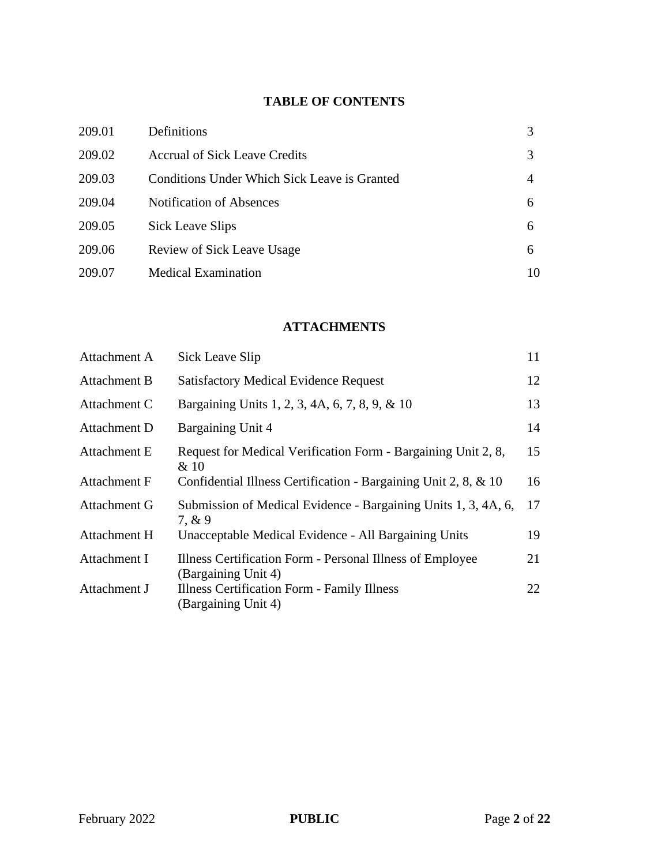# **TABLE OF CONTENTS**

| 209.01 | Definitions                                  |    |
|--------|----------------------------------------------|----|
| 209.02 | <b>Accrual of Sick Leave Credits</b>         |    |
| 209.03 | Conditions Under Which Sick Leave is Granted | 4  |
| 209.04 | <b>Notification of Absences</b>              | 6  |
| 209.05 | Sick Leave Slips                             | 6  |
| 209.06 | <b>Review of Sick Leave Usage</b>            | 6  |
| 209.07 | <b>Medical Examination</b>                   | 10 |

# **ATTACHMENTS**

| Sick Leave Slip                                                                  | 11 |
|----------------------------------------------------------------------------------|----|
| <b>Satisfactory Medical Evidence Request</b>                                     | 12 |
| Bargaining Units 1, 2, 3, 4A, 6, 7, 8, 9, & 10                                   | 13 |
| <b>Bargaining Unit 4</b>                                                         | 14 |
| Request for Medical Verification Form - Bargaining Unit 2, 8,<br>& 10            | 15 |
| Confidential Illness Certification - Bargaining Unit 2, 8, & 10                  | 16 |
| Submission of Medical Evidence - Bargaining Units 1, 3, 4A, 6,<br>7. & 9         | 17 |
| Unacceptable Medical Evidence - All Bargaining Units                             | 19 |
| Illness Certification Form - Personal Illness of Employee<br>(Bargaining Unit 4) | 21 |
| Illness Certification Form - Family Illness<br>(Bargaining Unit 4)               | 22 |
|                                                                                  |    |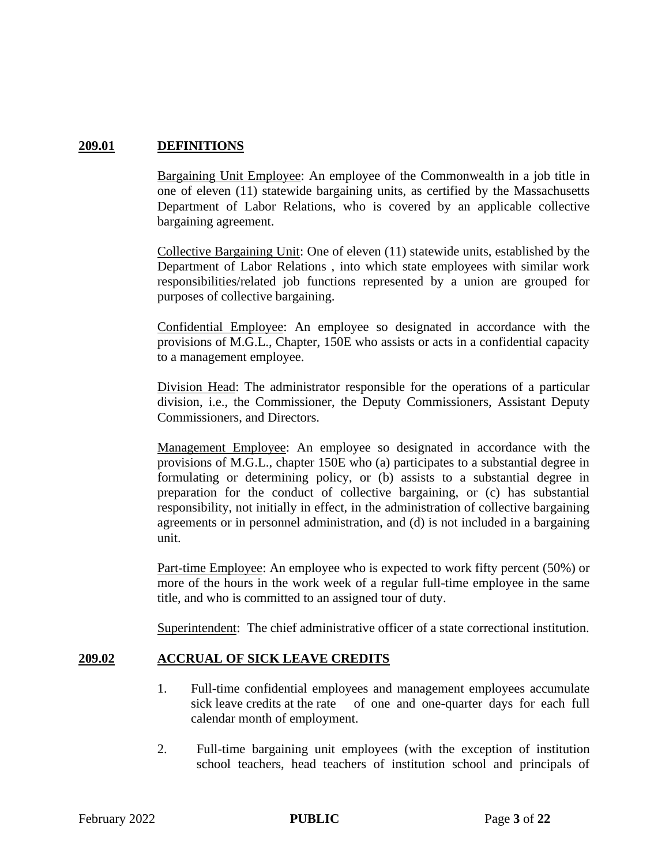## **209.01 DEFINITIONS**

Bargaining Unit Employee: An employee of the Commonwealth in a job title in one of eleven (11) statewide bargaining units, as certified by the Massachusetts Department of Labor Relations, who is covered by an applicable collective bargaining agreement.

Collective Bargaining Unit: One of eleven (11) statewide units, established by the Department of Labor Relations , into which state employees with similar work responsibilities/related job functions represented by a union are grouped for purposes of collective bargaining.

Confidential Employee: An employee so designated in accordance with the provisions of M.G.L., Chapter, 150E who assists or acts in a confidential capacity to a management employee.

Division Head: The administrator responsible for the operations of a particular division, i.e., the Commissioner, the Deputy Commissioners, Assistant Deputy Commissioners, and Directors.

Management Employee: An employee so designated in accordance with the provisions of M.G.L., chapter 150E who (a) participates to a substantial degree in formulating or determining policy, or (b) assists to a substantial degree in preparation for the conduct of collective bargaining, or (c) has substantial responsibility, not initially in effect, in the administration of collective bargaining agreements or in personnel administration, and (d) is not included in a bargaining unit.

Part-time Employee: An employee who is expected to work fifty percent (50%) or more of the hours in the work week of a regular full-time employee in the same title, and who is committed to an assigned tour of duty.

Superintendent: The chief administrative officer of a state correctional institution.

## **209.02 ACCRUAL OF SICK LEAVE CREDITS**

- 1. Full-time confidential employees and management employees accumulate sick leave credits at the rate of one and one-quarter days for each full calendar month of employment.
- 2. Full-time bargaining unit employees (with the exception of institution school teachers, head teachers of institution school and principals of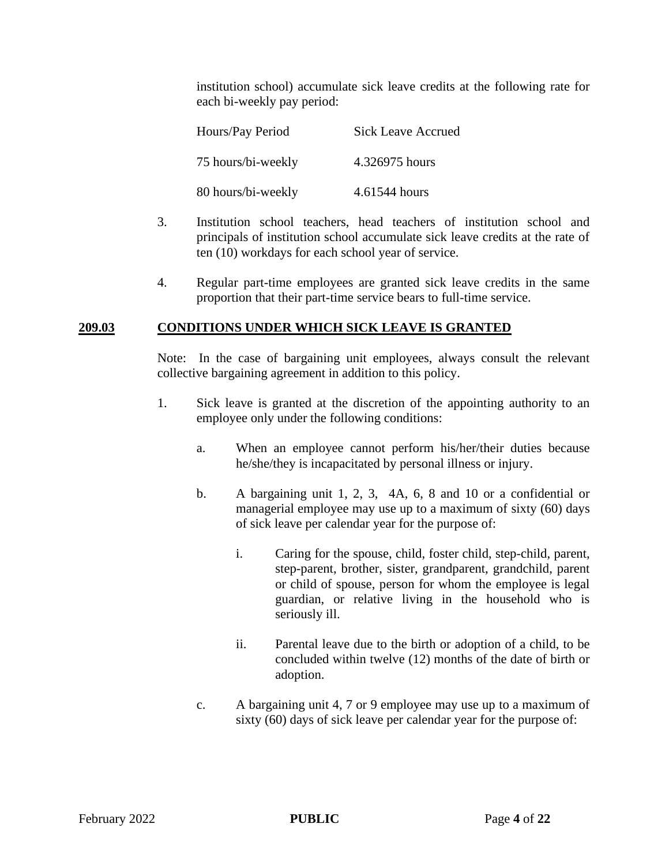institution school) accumulate sick leave credits at the following rate for each bi-weekly pay period:

| Hours/Pay Period   | <b>Sick Leave Accrued</b> |
|--------------------|---------------------------|
| 75 hours/bi-weekly | 4.326975 hours            |
| 80 hours/bi-weekly | 4.61544 hours             |

- 3. Institution school teachers, head teachers of institution school and principals of institution school accumulate sick leave credits at the rate of ten (10) workdays for each school year of service.
- 4. Regular part-time employees are granted sick leave credits in the same proportion that their part-time service bears to full-time service.

#### **209.03 CONDITIONS UNDER WHICH SICK LEAVE IS GRANTED**

Note: In the case of bargaining unit employees, always consult the relevant collective bargaining agreement in addition to this policy.

- 1. Sick leave is granted at the discretion of the appointing authority to an employee only under the following conditions:
	- a. When an employee cannot perform his/her/their duties because he/she/they is incapacitated by personal illness or injury.
	- b. A bargaining unit 1, 2, 3, 4A, 6, 8 and 10 or a confidential or managerial employee may use up to a maximum of sixty (60) days of sick leave per calendar year for the purpose of:
		- i. Caring for the spouse, child, foster child, step-child, parent, step-parent, brother, sister, grandparent, grandchild, parent or child of spouse, person for whom the employee is legal guardian, or relative living in the household who is seriously ill.
		- ii. Parental leave due to the birth or adoption of a child, to be concluded within twelve (12) months of the date of birth or adoption.
	- c. A bargaining unit 4, 7 or 9 employee may use up to a maximum of sixty (60) days of sick leave per calendar year for the purpose of: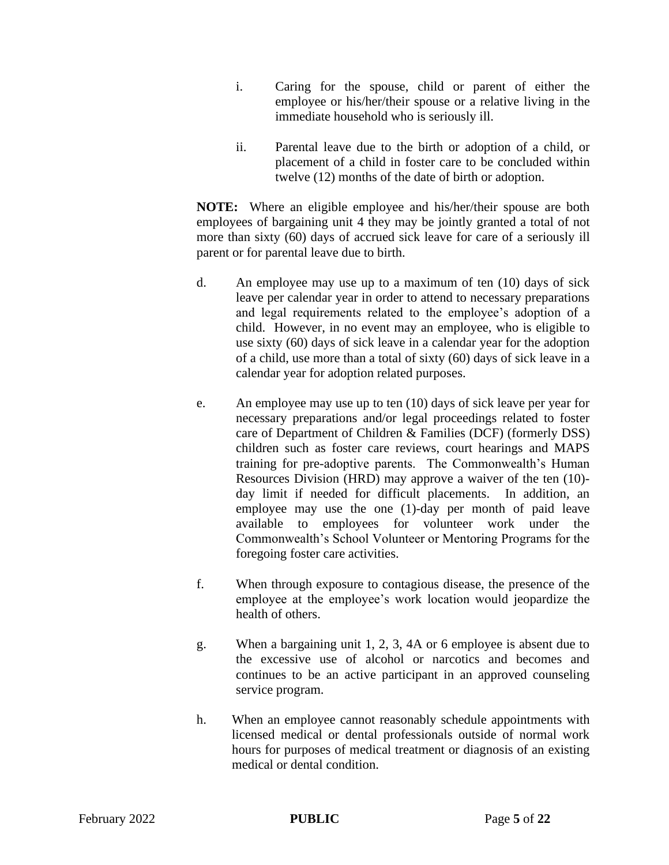- i. Caring for the spouse, child or parent of either the employee or his/her/their spouse or a relative living in the immediate household who is seriously ill.
- ii. Parental leave due to the birth or adoption of a child, or placement of a child in foster care to be concluded within twelve (12) months of the date of birth or adoption.

**NOTE:** Where an eligible employee and his/her/their spouse are both employees of bargaining unit 4 they may be jointly granted a total of not more than sixty (60) days of accrued sick leave for care of a seriously ill parent or for parental leave due to birth.

- d. An employee may use up to a maximum of ten (10) days of sick leave per calendar year in order to attend to necessary preparations and legal requirements related to the employee's adoption of a child. However, in no event may an employee, who is eligible to use sixty (60) days of sick leave in a calendar year for the adoption of a child, use more than a total of sixty (60) days of sick leave in a calendar year for adoption related purposes.
- e. An employee may use up to ten (10) days of sick leave per year for necessary preparations and/or legal proceedings related to foster care of Department of Children & Families (DCF) (formerly DSS) children such as foster care reviews, court hearings and MAPS training for pre-adoptive parents. The Commonwealth's Human Resources Division (HRD) may approve a waiver of the ten (10) day limit if needed for difficult placements. In addition, an employee may use the one (1)-day per month of paid leave available to employees for volunteer work under the Commonwealth's School Volunteer or Mentoring Programs for the foregoing foster care activities.
- f. When through exposure to contagious disease, the presence of the employee at the employee's work location would jeopardize the health of others.
- g. When a bargaining unit 1, 2, 3, 4A or 6 employee is absent due to the excessive use of alcohol or narcotics and becomes and continues to be an active participant in an approved counseling service program.
- h. When an employee cannot reasonably schedule appointments with licensed medical or dental professionals outside of normal work hours for purposes of medical treatment or diagnosis of an existing medical or dental condition.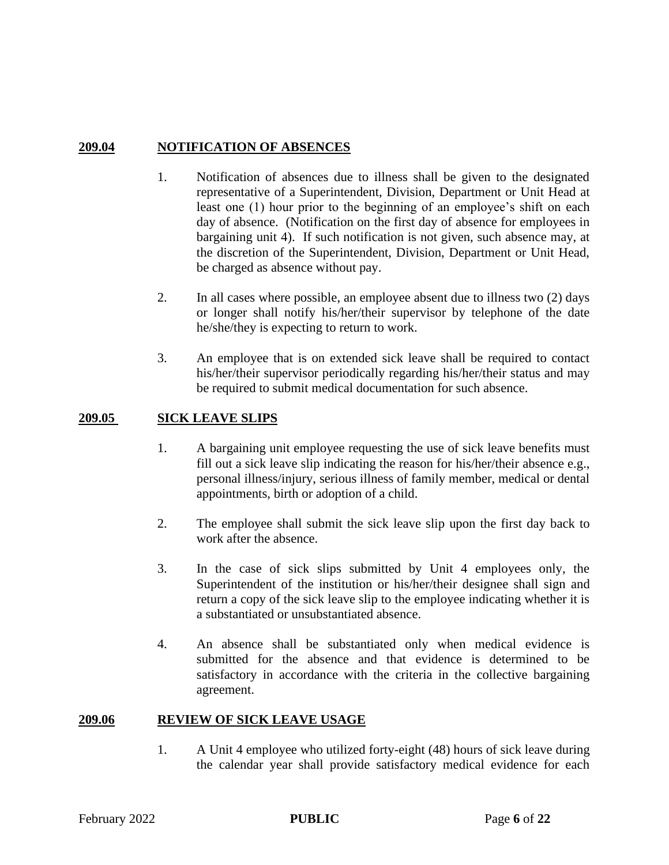## **209.04 NOTIFICATION OF ABSENCES**

- 1. Notification of absences due to illness shall be given to the designated representative of a Superintendent, Division, Department or Unit Head at least one (1) hour prior to the beginning of an employee's shift on each day of absence. (Notification on the first day of absence for employees in bargaining unit 4). If such notification is not given, such absence may, at the discretion of the Superintendent, Division, Department or Unit Head, be charged as absence without pay.
- 2. In all cases where possible, an employee absent due to illness two (2) days or longer shall notify his/her/their supervisor by telephone of the date he/she/they is expecting to return to work.
- 3. An employee that is on extended sick leave shall be required to contact his/her/their supervisor periodically regarding his/her/their status and may be required to submit medical documentation for such absence.

#### **209.05 SICK LEAVE SLIPS**

- 1. A bargaining unit employee requesting the use of sick leave benefits must fill out a sick leave slip indicating the reason for his/her/their absence e.g., personal illness/injury, serious illness of family member, medical or dental appointments, birth or adoption of a child.
- 2. The employee shall submit the sick leave slip upon the first day back to work after the absence.
- 3. In the case of sick slips submitted by Unit 4 employees only, the Superintendent of the institution or his/her/their designee shall sign and return a copy of the sick leave slip to the employee indicating whether it is a substantiated or unsubstantiated absence.
- 4. An absence shall be substantiated only when medical evidence is submitted for the absence and that evidence is determined to be satisfactory in accordance with the criteria in the collective bargaining agreement.

#### **209.06 REVIEW OF SICK LEAVE USAGE**

1. A Unit 4 employee who utilized forty-eight (48) hours of sick leave during the calendar year shall provide satisfactory medical evidence for each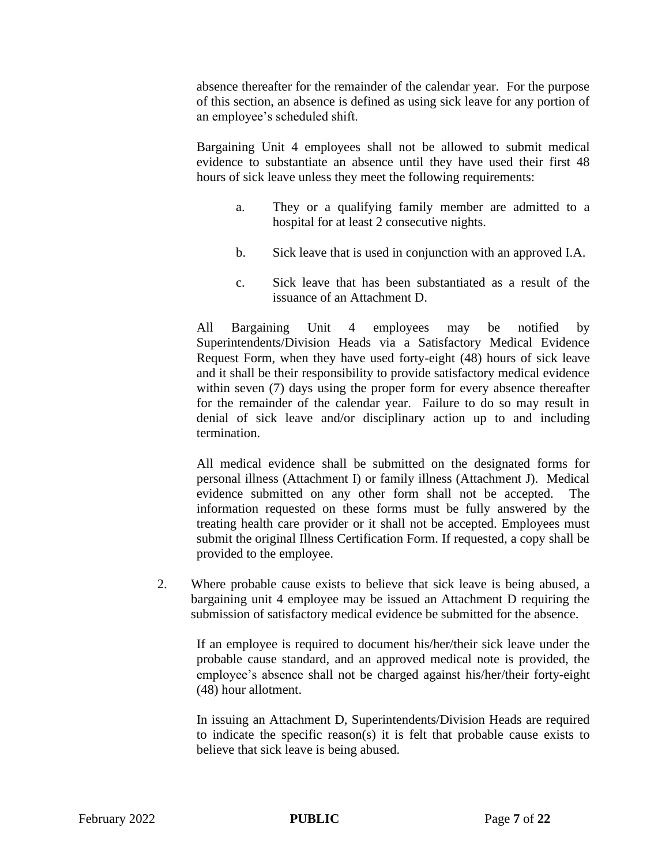absence thereafter for the remainder of the calendar year. For the purpose of this section, an absence is defined as using sick leave for any portion of an employee's scheduled shift.

Bargaining Unit 4 employees shall not be allowed to submit medical evidence to substantiate an absence until they have used their first 48 hours of sick leave unless they meet the following requirements:

- a. They or a qualifying family member are admitted to a hospital for at least 2 consecutive nights.
- b. Sick leave that is used in conjunction with an approved I.A.
- c. Sick leave that has been substantiated as a result of the issuance of an Attachment D.

All Bargaining Unit 4 employees may be notified by Superintendents/Division Heads via a Satisfactory Medical Evidence Request Form, when they have used forty-eight (48) hours of sick leave and it shall be their responsibility to provide satisfactory medical evidence within seven (7) days using the proper form for every absence thereafter for the remainder of the calendar year. Failure to do so may result in denial of sick leave and/or disciplinary action up to and including termination.

All medical evidence shall be submitted on the designated forms for personal illness (Attachment I) or family illness (Attachment J). Medical evidence submitted on any other form shall not be accepted. The information requested on these forms must be fully answered by the treating health care provider or it shall not be accepted. Employees must submit the original Illness Certification Form. If requested, a copy shall be provided to the employee.

2. Where probable cause exists to believe that sick leave is being abused, a bargaining unit 4 employee may be issued an Attachment D requiring the submission of satisfactory medical evidence be submitted for the absence.

If an employee is required to document his/her/their sick leave under the probable cause standard, and an approved medical note is provided, the employee's absence shall not be charged against his/her/their forty-eight (48) hour allotment.

In issuing an Attachment D, Superintendents/Division Heads are required to indicate the specific reason(s) it is felt that probable cause exists to believe that sick leave is being abused.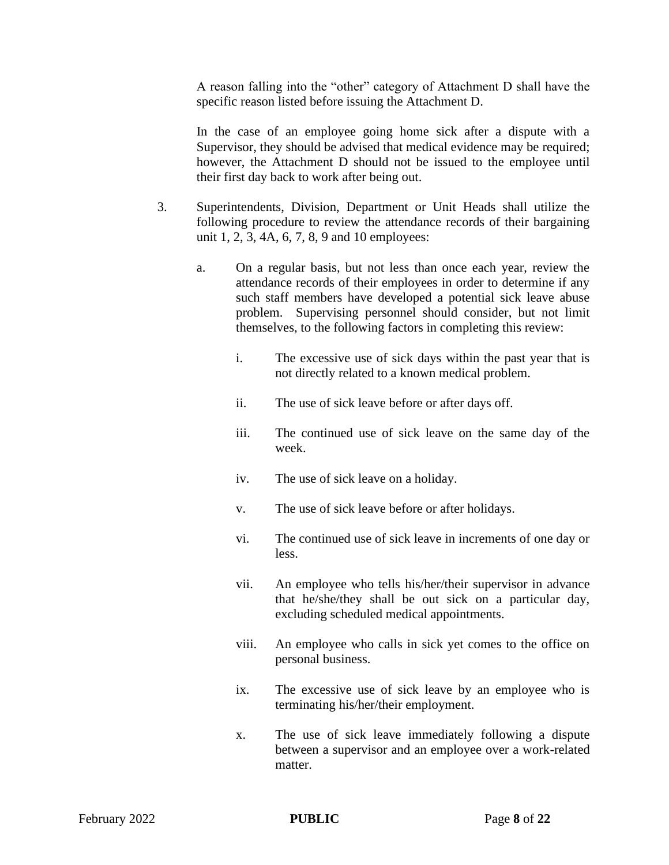A reason falling into the "other" category of Attachment D shall have the specific reason listed before issuing the Attachment D.

In the case of an employee going home sick after a dispute with a Supervisor, they should be advised that medical evidence may be required; however, the Attachment D should not be issued to the employee until their first day back to work after being out.

- 3. Superintendents, Division, Department or Unit Heads shall utilize the following procedure to review the attendance records of their bargaining unit 1, 2, 3, 4A, 6, 7, 8, 9 and 10 employees:
	- a. On a regular basis, but not less than once each year, review the attendance records of their employees in order to determine if any such staff members have developed a potential sick leave abuse problem. Supervising personnel should consider, but not limit themselves, to the following factors in completing this review:
		- i. The excessive use of sick days within the past year that is not directly related to a known medical problem.
		- ii. The use of sick leave before or after days off.
		- iii. The continued use of sick leave on the same day of the week.
		- iv. The use of sick leave on a holiday.
		- v. The use of sick leave before or after holidays.
		- vi. The continued use of sick leave in increments of one day or less.
		- vii. An employee who tells his/her/their supervisor in advance that he/she/they shall be out sick on a particular day, excluding scheduled medical appointments.
		- viii. An employee who calls in sick yet comes to the office on personal business.
		- ix. The excessive use of sick leave by an employee who is terminating his/her/their employment.
		- x. The use of sick leave immediately following a dispute between a supervisor and an employee over a work-related matter.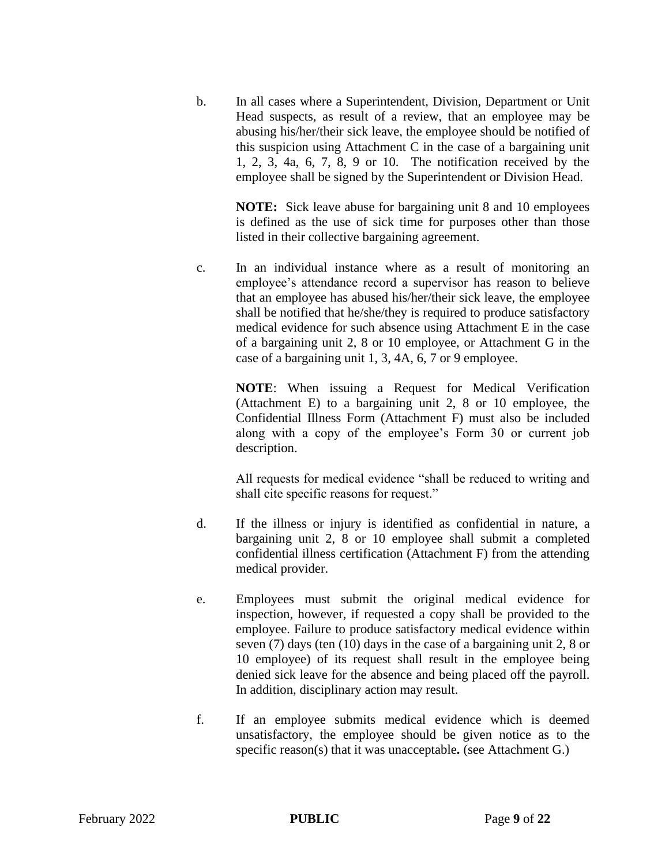b. In all cases where a Superintendent, Division, Department or Unit Head suspects, as result of a review, that an employee may be abusing his/her/their sick leave, the employee should be notified of this suspicion using Attachment C in the case of a bargaining unit 1, 2, 3, 4a, 6, 7, 8, 9 or 10. The notification received by the employee shall be signed by the Superintendent or Division Head.

**NOTE:** Sick leave abuse for bargaining unit 8 and 10 employees is defined as the use of sick time for purposes other than those listed in their collective bargaining agreement.

c. In an individual instance where as a result of monitoring an employee's attendance record a supervisor has reason to believe that an employee has abused his/her/their sick leave, the employee shall be notified that he/she/they is required to produce satisfactory medical evidence for such absence using Attachment E in the case of a bargaining unit 2, 8 or 10 employee, or Attachment G in the case of a bargaining unit 1, 3, 4A, 6, 7 or 9 employee.

> **NOTE**: When issuing a Request for Medical Verification (Attachment E) to a bargaining unit 2, 8 or 10 employee, the Confidential Illness Form (Attachment F) must also be included along with a copy of the employee's Form 30 or current job description.

> All requests for medical evidence "shall be reduced to writing and shall cite specific reasons for request."

- d. If the illness or injury is identified as confidential in nature, a bargaining unit 2, 8 or 10 employee shall submit a completed confidential illness certification (Attachment F) from the attending medical provider.
- e. Employees must submit the original medical evidence for inspection, however, if requested a copy shall be provided to the employee. Failure to produce satisfactory medical evidence within seven (7) days (ten (10) days in the case of a bargaining unit 2, 8 or 10 employee) of its request shall result in the employee being denied sick leave for the absence and being placed off the payroll. In addition, disciplinary action may result.
- f. If an employee submits medical evidence which is deemed unsatisfactory, the employee should be given notice as to the specific reason(s) that it was unacceptable**.** (see Attachment G.)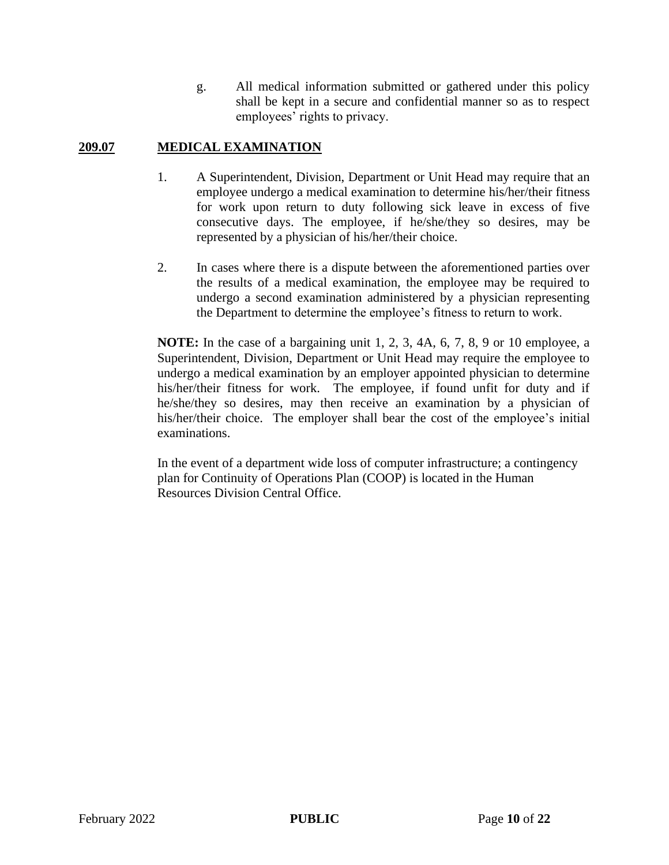g. All medical information submitted or gathered under this policy shall be kept in a secure and confidential manner so as to respect employees' rights to privacy.

## **209.07 MEDICAL EXAMINATION**

- 1. A Superintendent, Division, Department or Unit Head may require that an employee undergo a medical examination to determine his/her/their fitness for work upon return to duty following sick leave in excess of five consecutive days. The employee, if he/she/they so desires, may be represented by a physician of his/her/their choice.
- 2. In cases where there is a dispute between the aforementioned parties over the results of a medical examination, the employee may be required to undergo a second examination administered by a physician representing the Department to determine the employee's fitness to return to work.

**NOTE:** In the case of a bargaining unit 1, 2, 3, 4A, 6, 7, 8, 9 or 10 employee, a Superintendent, Division, Department or Unit Head may require the employee to undergo a medical examination by an employer appointed physician to determine his/her/their fitness for work. The employee, if found unfit for duty and if he/she/they so desires, may then receive an examination by a physician of his/her/their choice. The employer shall bear the cost of the employee's initial examinations.

In the event of a department wide loss of computer infrastructure; a contingency plan for Continuity of Operations Plan (COOP) is located in the Human Resources Division Central Office.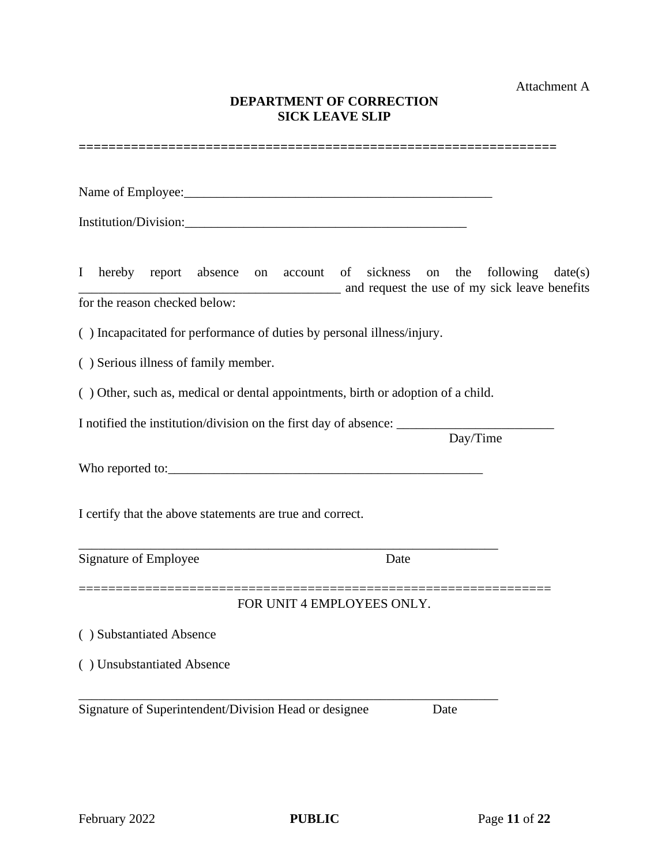Attachment A

## **DEPARTMENT OF CORRECTION SICK LEAVE SLIP**

| SIUN LEAVE SLIF                                                                                                                         |
|-----------------------------------------------------------------------------------------------------------------------------------------|
|                                                                                                                                         |
|                                                                                                                                         |
|                                                                                                                                         |
| hereby report absence on account of sickness on the<br>following $date(s)$<br>$\bf{I}$<br>and request the use of my sick leave benefits |
| for the reason checked below:                                                                                                           |
| () Incapacitated for performance of duties by personal illness/injury.                                                                  |
| () Serious illness of family member.                                                                                                    |
| () Other, such as, medical or dental appointments, birth or adoption of a child.                                                        |
| Day/Time                                                                                                                                |
|                                                                                                                                         |
| I certify that the above statements are true and correct.                                                                               |
| Signature of Employee<br>Date                                                                                                           |
| FOR UNIT 4 EMPLOYEES ONLY.                                                                                                              |
| () Substantiated Absence                                                                                                                |
| () Unsubstantiated Absence                                                                                                              |
| Signature of Superintendent/Division Head or designee<br>Date                                                                           |
|                                                                                                                                         |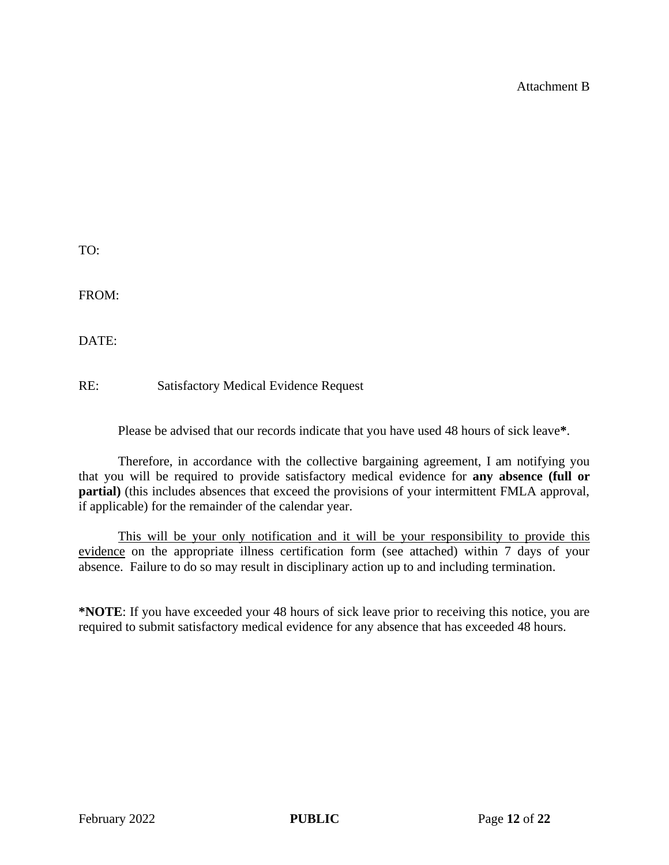Attachment B

TO:

FROM:

DATE:

RE: Satisfactory Medical Evidence Request

Please be advised that our records indicate that you have used 48 hours of sick leave**\***.

Therefore, in accordance with the collective bargaining agreement, I am notifying you that you will be required to provide satisfactory medical evidence for **any absence (full or partial)** (this includes absences that exceed the provisions of your intermittent FMLA approval, if applicable) for the remainder of the calendar year.

This will be your only notification and it will be your responsibility to provide this evidence on the appropriate illness certification form (see attached) within 7 days of your absence. Failure to do so may result in disciplinary action up to and including termination.

**\*NOTE**: If you have exceeded your 48 hours of sick leave prior to receiving this notice, you are required to submit satisfactory medical evidence for any absence that has exceeded 48 hours.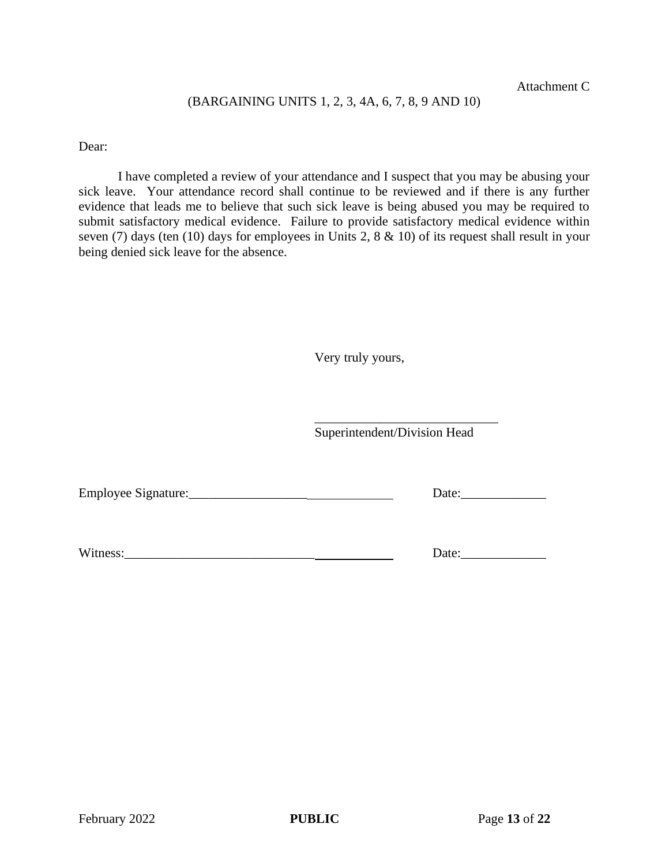#### (BARGAINING UNITS 1, 2, 3, 4A, 6, 7, 8, 9 AND 10)

Dear:

I have completed a review of your attendance and I suspect that you may be abusing your sick leave. Your attendance record shall continue to be reviewed and if there is any further evidence that leads me to believe that such sick leave is being abused you may be required to submit satisfactory medical evidence. Failure to provide satisfactory medical evidence within seven (7) days (ten (10) days for employees in Units 2, 8 & 10) of its request shall result in your being denied sick leave for the absence.

Very truly yours,

Superintendent/Division Head

\_\_\_\_\_\_\_\_\_\_\_\_\_\_\_\_\_\_\_\_\_\_\_\_\_\_\_\_

Employee Signature:\_\_\_\_\_\_\_\_\_\_\_\_\_\_\_\_\_\_ Date:\_\_\_\_\_\_\_\_\_\_\_\_\_

Witness:\_\_\_\_\_\_\_\_\_\_\_\_\_\_\_\_\_\_\_\_\_\_\_\_\_\_\_\_\_ Date:\_\_\_\_\_\_\_\_\_\_\_\_\_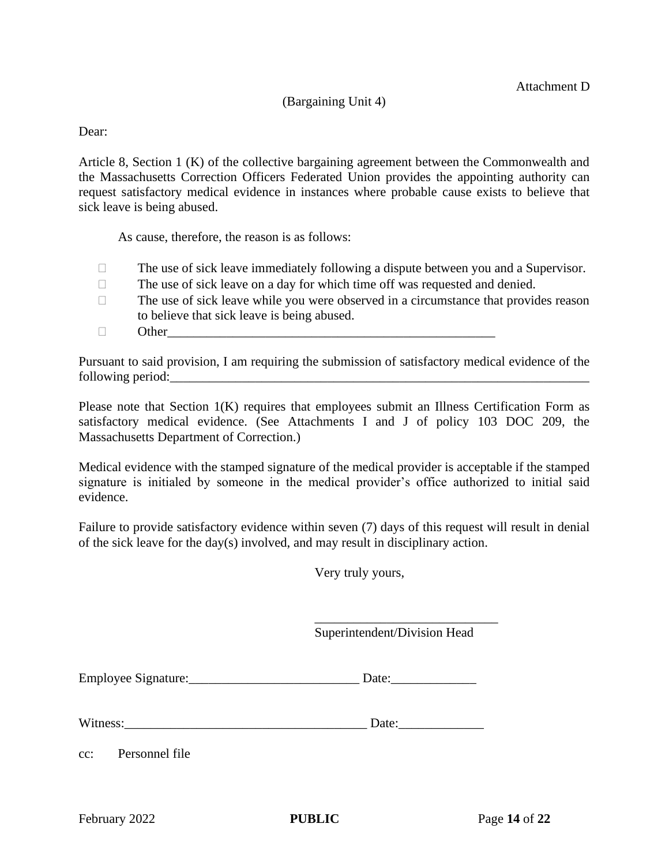#### (Bargaining Unit 4)

#### Dear:

Article 8, Section 1 (K) of the collective bargaining agreement between the Commonwealth and the Massachusetts Correction Officers Federated Union provides the appointing authority can request satisfactory medical evidence in instances where probable cause exists to believe that sick leave is being abused.

As cause, therefore, the reason is as follows:

- $\Box$  The use of sick leave immediately following a dispute between you and a Supervisor.
- $\Box$  The use of sick leave on a day for which time off was requested and denied.
- $\Box$  The use of sick leave while you were observed in a circumstance that provides reason to believe that sick leave is being abused.
- $\Box$  Other

Pursuant to said provision, I am requiring the submission of satisfactory medical evidence of the following period:

Please note that Section 1(K) requires that employees submit an Illness Certification Form as satisfactory medical evidence. (See Attachments I and J of policy 103 DOC 209, the Massachusetts Department of Correction.)

Medical evidence with the stamped signature of the medical provider is acceptable if the stamped signature is initialed by someone in the medical provider's office authorized to initial said evidence.

Failure to provide satisfactory evidence within seven (7) days of this request will result in denial of the sick leave for the day(s) involved, and may result in disciplinary action.

Very truly yours,

Superintendent/Division Head

\_\_\_\_\_\_\_\_\_\_\_\_\_\_\_\_\_\_\_\_\_\_\_\_\_\_\_\_

| <b>Employee Signature:</b> | Date |
|----------------------------|------|
|                            |      |

Witness: Exercise Security Security Security Security Security Security Security Security Security Security Security Security Security Security Security Security Security Security Security Security Security Security Securi

cc: Personnel file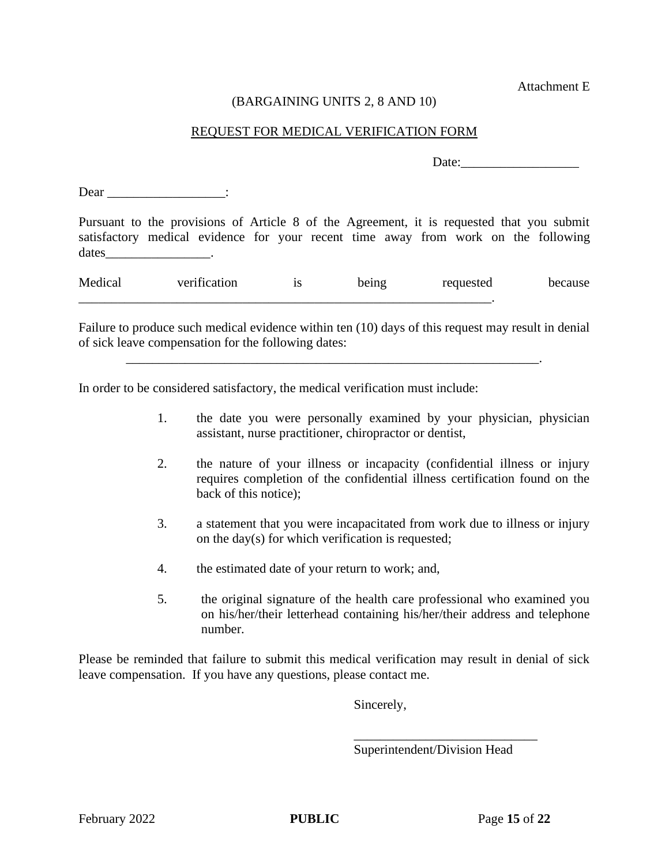Attachment E

#### (BARGAINING UNITS 2, 8 AND 10)

#### REQUEST FOR MEDICAL VERIFICATION FORM

Date:

Dear \_\_\_\_\_\_\_\_\_\_\_\_\_\_\_\_\_\_\_\_\_\_\_\_:

Pursuant to the provisions of Article 8 of the Agreement, it is requested that you submit satisfactory medical evidence for your recent time away from work on the following dates

| Medical | verification | υυ | being | requested | because |
|---------|--------------|----|-------|-----------|---------|
|         |              |    |       |           |         |

Failure to produce such medical evidence within ten (10) days of this request may result in denial of sick leave compensation for the following dates:

\_\_\_\_\_\_\_\_\_\_\_\_\_\_\_\_\_\_\_\_\_\_\_\_\_\_\_\_\_\_\_\_\_\_\_\_\_\_\_\_\_\_\_\_\_\_\_\_\_\_\_\_\_\_\_\_\_\_\_\_\_\_\_.

In order to be considered satisfactory, the medical verification must include:

- 1. the date you were personally examined by your physician, physician assistant, nurse practitioner, chiropractor or dentist,
- 2. the nature of your illness or incapacity (confidential illness or injury requires completion of the confidential illness certification found on the back of this notice);
- 3. a statement that you were incapacitated from work due to illness or injury on the day(s) for which verification is requested;
- 4. the estimated date of your return to work; and,
- 5. the original signature of the health care professional who examined you on his/her/their letterhead containing his/her/their address and telephone number.

Please be reminded that failure to submit this medical verification may result in denial of sick leave compensation. If you have any questions, please contact me.

Sincerely,

Superintendent/Division Head

\_\_\_\_\_\_\_\_\_\_\_\_\_\_\_\_\_\_\_\_\_\_\_\_\_\_\_\_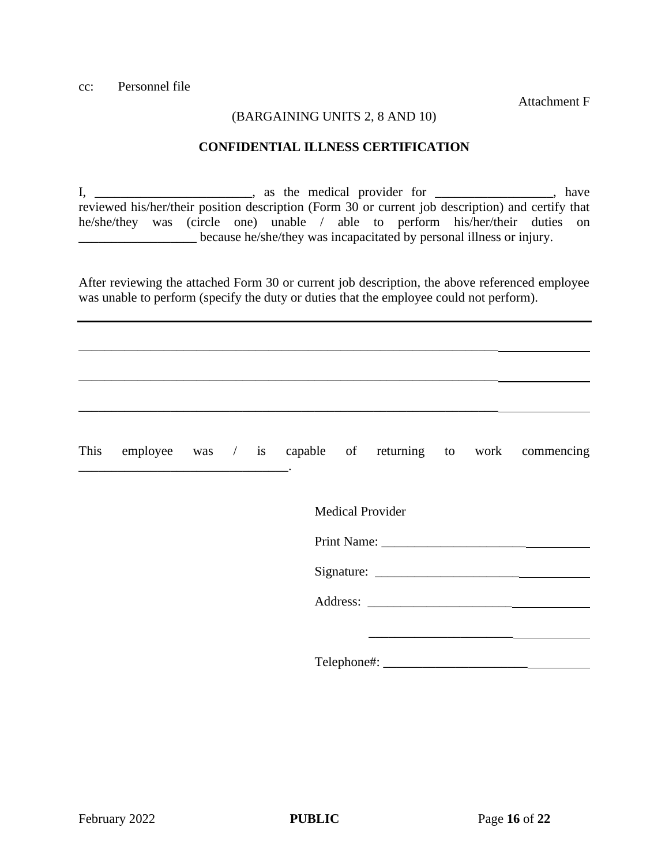Attachment F

#### (BARGAINING UNITS 2, 8 AND 10)

#### **CONFIDENTIAL ILLNESS CERTIFICATION**

I, \_\_\_\_\_\_\_\_\_\_\_\_\_\_\_\_\_\_\_\_\_\_, as the medical provider for \_\_\_\_\_\_\_\_\_\_\_\_\_\_\_\_\_, have reviewed his/her/their position description (Form 30 or current job description) and certify that he/she/they was (circle one) unable / able to perform his/her/their duties on \_\_\_\_\_\_\_\_\_\_\_\_\_\_\_\_\_\_ because he/she/they was incapacitated by personal illness or injury.

After reviewing the attached Form 30 or current job description, the above referenced employee was unable to perform (specify the duty or duties that the employee could not perform).

\_\_\_\_\_\_\_\_\_\_\_\_\_\_\_\_\_\_\_\_\_\_\_\_\_\_\_\_\_\_\_\_\_\_\_\_\_\_\_\_\_\_\_\_\_\_\_\_\_\_\_\_\_\_\_\_\_\_\_\_\_\_\_\_

\_\_\_\_\_\_\_\_\_\_\_\_\_\_\_\_\_\_\_\_\_\_\_\_\_\_\_\_\_\_\_\_\_\_\_\_\_\_\_\_\_\_\_\_\_\_\_\_\_\_\_\_\_\_\_\_\_\_\_\_\_\_\_\_

\_\_\_\_\_\_\_\_\_\_\_\_\_\_\_\_\_\_\_\_\_\_\_\_\_\_\_\_\_\_\_\_\_\_\_\_\_\_\_\_\_\_\_\_\_\_\_\_\_\_\_\_\_\_\_\_\_\_\_\_\_\_\_\_

This employee was / is capable of returning to work commencing \_\_\_\_\_\_\_\_\_\_\_\_\_\_\_\_\_\_\_\_\_\_\_\_\_\_\_\_\_\_\_\_. Medical Provider Print Name: Signature: Address: \_\_\_\_\_\_\_\_\_\_\_\_\_\_\_\_\_\_\_\_\_\_ Telephone#: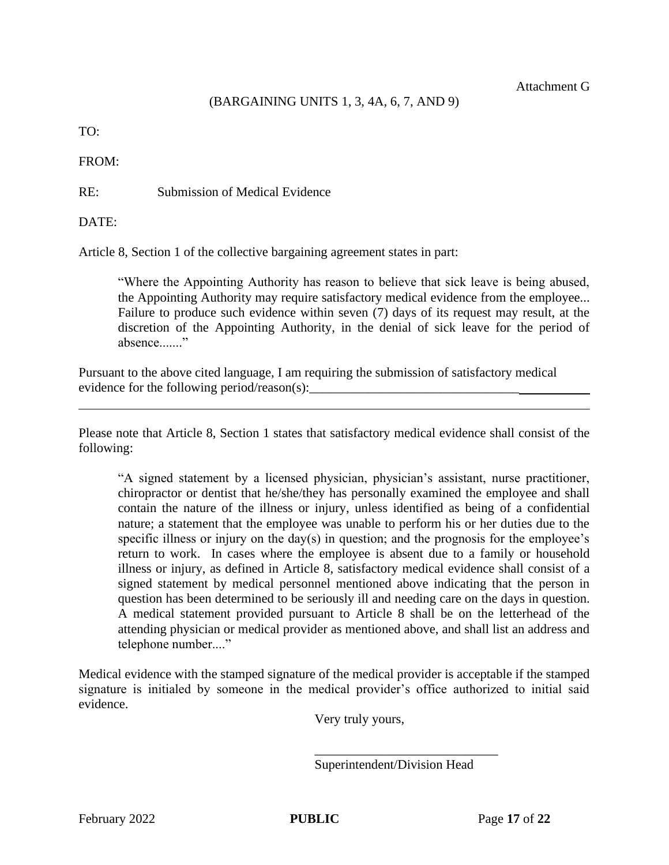### (BARGAINING UNITS 1, 3, 4A, 6, 7, AND 9)

TO:

FROM:

RE: Submission of Medical Evidence

DATE:

Article 8, Section 1 of the collective bargaining agreement states in part:

"Where the Appointing Authority has reason to believe that sick leave is being abused, the Appointing Authority may require satisfactory medical evidence from the employee... Failure to produce such evidence within seven (7) days of its request may result, at the discretion of the Appointing Authority, in the denial of sick leave for the period of absence......."

Pursuant to the above cited language, I am requiring the submission of satisfactory medical evidence for the following period/reason(s):

Please note that Article 8, Section 1 states that satisfactory medical evidence shall consist of the following:

"A signed statement by a licensed physician, physician's assistant, nurse practitioner, chiropractor or dentist that he/she/they has personally examined the employee and shall contain the nature of the illness or injury, unless identified as being of a confidential nature; a statement that the employee was unable to perform his or her duties due to the specific illness or injury on the day(s) in question; and the prognosis for the employee's return to work. In cases where the employee is absent due to a family or household illness or injury, as defined in Article 8, satisfactory medical evidence shall consist of a signed statement by medical personnel mentioned above indicating that the person in question has been determined to be seriously ill and needing care on the days in question. A medical statement provided pursuant to Article 8 shall be on the letterhead of the attending physician or medical provider as mentioned above, and shall list an address and telephone number...."

Medical evidence with the stamped signature of the medical provider is acceptable if the stamped signature is initialed by someone in the medical provider's office authorized to initial said evidence.

Very truly yours,

Superintendent/Division Head

\_\_\_\_\_\_\_\_\_\_\_\_\_\_\_\_\_\_\_\_\_\_\_\_\_\_\_\_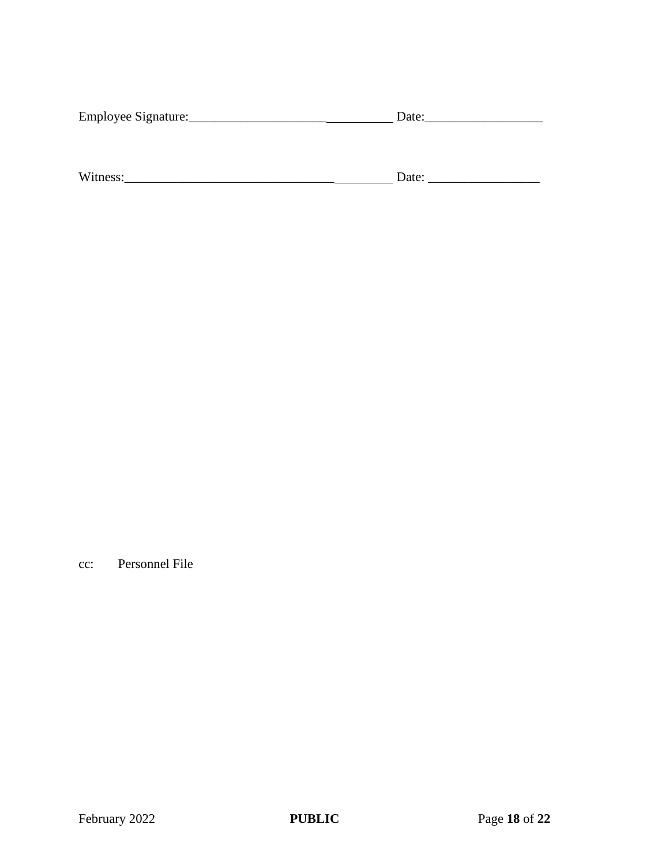| Employee Signature: | Date: |  |
|---------------------|-------|--|
|                     |       |  |
|                     |       |  |
|                     |       |  |
| Witness:            | Date: |  |

cc: Personnel File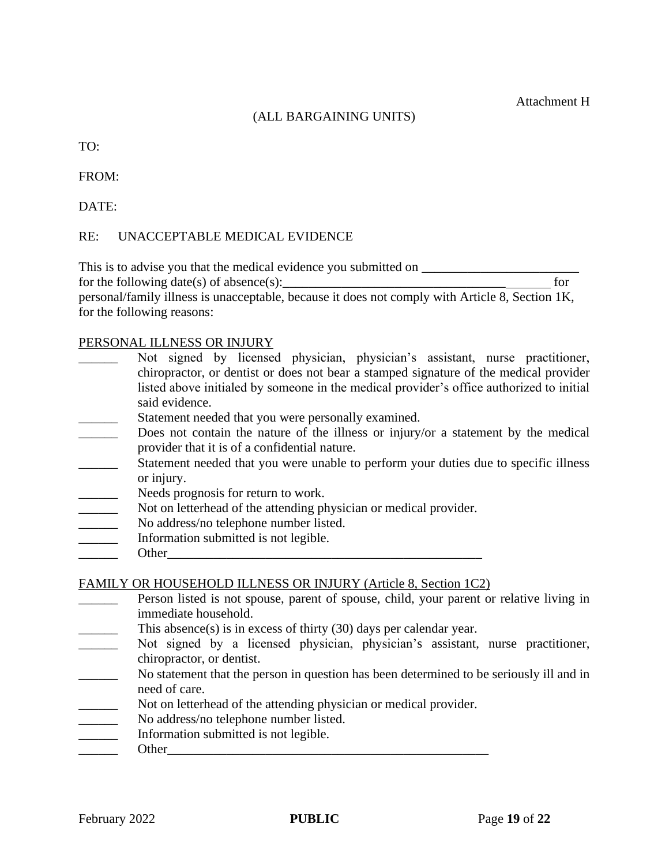TO:

FROM:

DATE:

## RE: UNACCEPTABLE MEDICAL EVIDENCE

This is to advise you that the medical evidence you submitted on \_\_\_\_\_\_\_\_\_\_\_\_\_\_\_\_

for the following date(s) of absence(s):  $\qquad \qquad$  for

personal/family illness is unacceptable, because it does not comply with Article 8, Section 1K, for the following reasons:

## PERSONAL ILLNESS OR INJURY

- Not signed by licensed physician, physician's assistant, nurse practitioner, chiropractor, or dentist or does not bear a stamped signature of the medical provider listed above initialed by someone in the medical provider's office authorized to initial said evidence.
- Statement needed that you were personally examined.
- Does not contain the nature of the illness or injury/or a statement by the medical provider that it is of a confidential nature.
- Statement needed that you were unable to perform your duties due to specific illness or injury.
- Needs prognosis for return to work.
- Not on letterhead of the attending physician or medical provider.
- No address/no telephone number listed.
- \_\_\_\_\_\_ Information submitted is not legible.
- \_\_\_\_\_\_ Other\_\_\_\_\_\_\_\_\_\_\_\_\_\_\_\_\_\_\_\_\_\_\_\_\_\_\_\_\_\_\_\_\_\_\_\_\_\_\_\_\_\_\_\_\_\_\_\_

FAMILY OR HOUSEHOLD ILLNESS OR INJURY (Article 8, Section 1C2)

- **EXECUTE:** Person listed is not spouse, parent of spouse, child, your parent or relative living in immediate household.
- This absence(s) is in excess of thirty  $(30)$  days per calendar year.
- Not signed by a licensed physician, physician's assistant, nurse practitioner, chiropractor, or dentist.
- No statement that the person in question has been determined to be seriously ill and in need of care.
- Not on letterhead of the attending physician or medical provider.
- No address/no telephone number listed.
- \_\_\_\_\_\_ Information submitted is not legible.
- \_\_\_\_\_\_ Other\_\_\_\_\_\_\_\_\_\_\_\_\_\_\_\_\_\_\_\_\_\_\_\_\_\_\_\_\_\_\_\_\_\_\_\_\_\_\_\_\_\_\_\_\_\_\_\_\_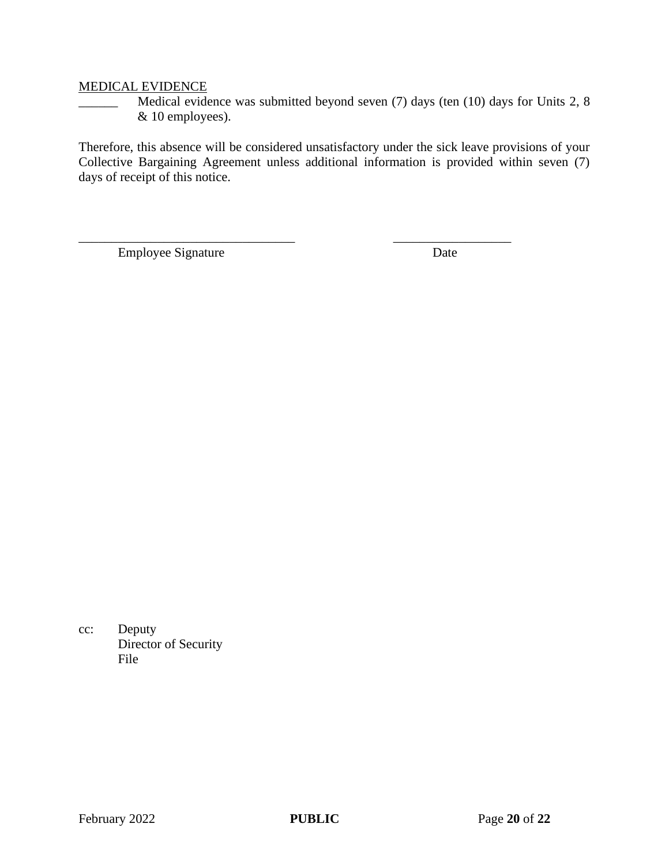#### MEDICAL EVIDENCE

\_\_\_\_\_\_ Medical evidence was submitted beyond seven (7) days (ten (10) days for Units 2, 8 & 10 employees).

Therefore, this absence will be considered unsatisfactory under the sick leave provisions of your Collective Bargaining Agreement unless additional information is provided within seven (7) days of receipt of this notice.

\_\_\_\_\_\_\_\_\_\_\_\_\_\_\_\_\_\_\_\_\_\_\_\_\_\_\_\_\_\_\_\_\_ \_\_\_\_\_\_\_\_\_\_\_\_\_\_\_\_\_\_

Employee Signature Date

cc: Deputy Director of Security File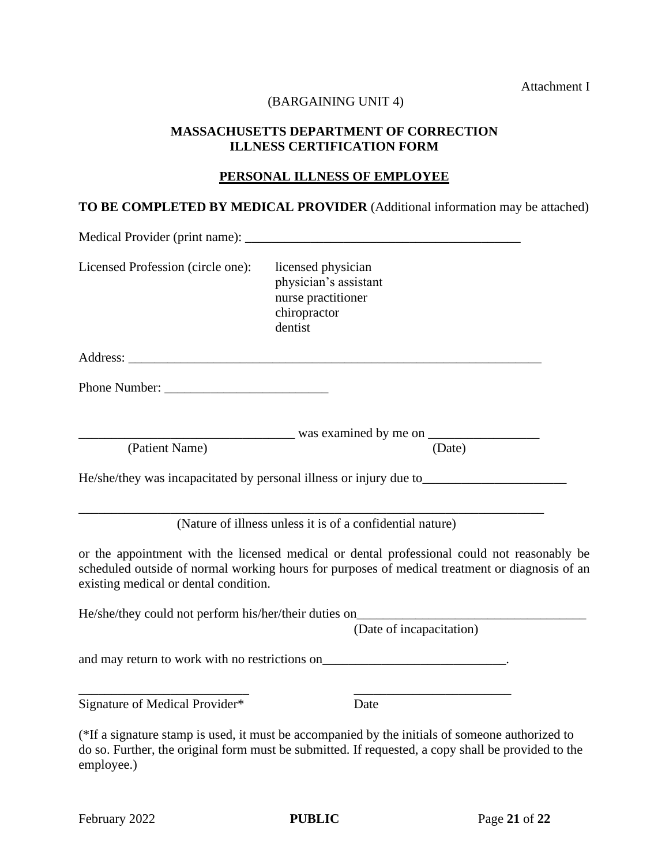Attachment I

#### (BARGAINING UNIT 4)

#### **MASSACHUSETTS DEPARTMENT OF CORRECTION ILLNESS CERTIFICATION FORM**

#### **PERSONAL ILLNESS OF EMPLOYEE**

# **TO BE COMPLETED BY MEDICAL PROVIDER** (Additional information may be attached)

| Medical Provider (print name): _________ |                                                                                                                                                                                                       |  |
|------------------------------------------|-------------------------------------------------------------------------------------------------------------------------------------------------------------------------------------------------------|--|
| Licensed Profession (circle one):        | licensed physician<br>physician's assistant<br>nurse practitioner<br>chiropractor<br>dentist                                                                                                          |  |
|                                          |                                                                                                                                                                                                       |  |
|                                          |                                                                                                                                                                                                       |  |
| (Patient Name)                           | (Date)                                                                                                                                                                                                |  |
|                                          | He/she/they was incapacitated by personal illness or injury due to__________________________________                                                                                                  |  |
|                                          | (Nature of illness unless it is of a confidential nature)                                                                                                                                             |  |
| existing medical or dental condition.    | or the appointment with the licensed medical or dental professional could not reasonably be<br>scheduled outside of normal working hours for purposes of medical treatment or diagnosis of an         |  |
|                                          | He/she/they could not perform his/her/their duties on____________________________<br>(Date of incapacitation)                                                                                         |  |
|                                          |                                                                                                                                                                                                       |  |
| Signature of Medical Provider*           | Date                                                                                                                                                                                                  |  |
|                                          | (*If a signature stamp is used, it must be accompanied by the initials of someone authorized to<br>do so. Further, the original form must be submitted. If requested, a copy shall be provided to the |  |

employee.)